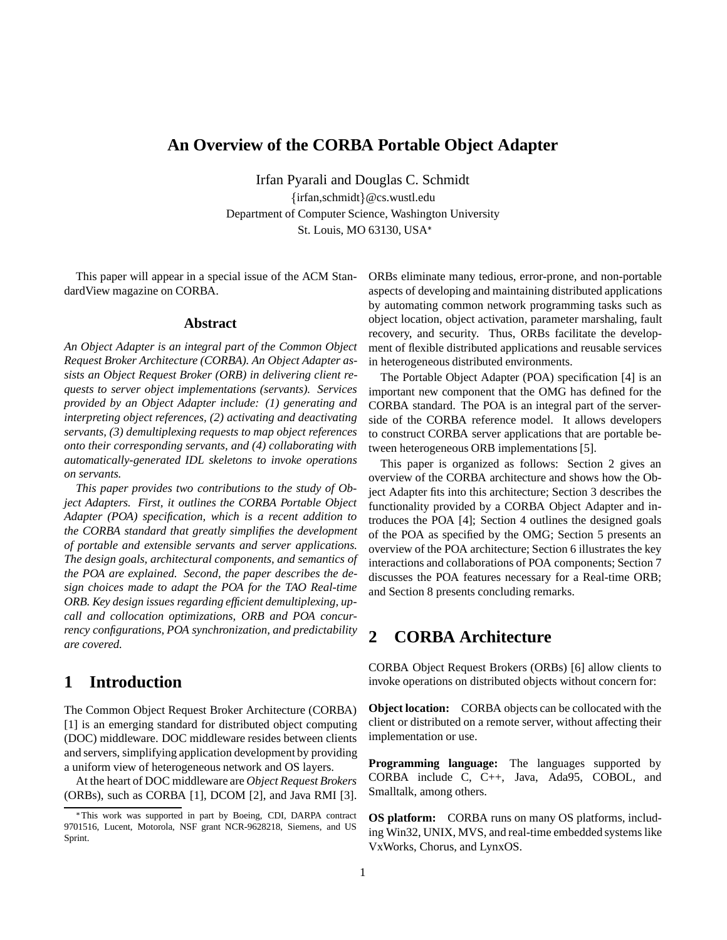# **An Overview of the CORBA Portable Object Adapter**

Irfan Pyarali and Douglas C. Schmidt  $\{irfan, schmidt\}$ @cs.wustl.edu Department of Computer Science, Washington University St. Louis, MO 63130, USA

This paper will appear in a special issue of the ACM StandardView magazine on CORBA.

#### **Abstract**

*An Object Adapter is an integral part of the Common Object Request Broker Architecture (CORBA). An Object Adapter assists an Object Request Broker (ORB) in delivering client requests to server object implementations (servants). Services provided by an Object Adapter include: (1) generating and interpreting object references, (2) activating and deactivating servants, (3) demultiplexing requests to map object references onto their corresponding servants, and (4) collaborating with automatically-generated IDL skeletons to invoke operations on servants.*

*This paper provides two contributions to the study of Object Adapters. First, it outlines the CORBA Portable Object Adapter (POA) specification, which is a recent addition to the CORBA standard that greatly simplifies the development of portable and extensible servants and server applications. The design goals, architectural components, and semantics of the POA are explained. Second, the paper describes the design choices made to adapt the POA for the TAO Real-time ORB. Key design issues regarding efficient demultiplexing, upcall and collocation optimizations, ORB and POA concurrency configurations, POA synchronization, and predictability are covered.*

# **1 Introduction**

The Common Object Request Broker Architecture (CORBA) [1] is an emerging standard for distributed object computing (DOC) middleware. DOC middleware resides between clients and servers, simplifying application development by providing a uniform view of heterogeneous network and OS layers.

At the heart of DOC middleware are *Object Request Brokers* (ORBs), such as CORBA [1], DCOM [2], and Java RMI [3].

ORBs eliminate many tedious, error-prone, and non-portable aspects of developing and maintaining distributed applications by automating common network programming tasks such as object location, object activation, parameter marshaling, fault recovery, and security. Thus, ORBs facilitate the development of flexible distributed applications and reusable services in heterogeneous distributed environments.

The Portable Object Adapter (POA) specification [4] is an important new component that the OMG has defined for the CORBA standard. The POA is an integral part of the serverside of the CORBA reference model. It allows developers to construct CORBA server applications that are portable between heterogeneous ORB implementations [5].

This paper is organized as follows: Section 2 gives an overview of the CORBA architecture and shows how the Object Adapter fits into this architecture; Section 3 describes the functionality provided by a CORBA Object Adapter and introduces the POA [4]; Section 4 outlines the designed goals of the POA as specified by the OMG; Section 5 presents an overview of the POA architecture; Section 6 illustrates the key interactions and collaborations of POA components; Section 7 discusses the POA features necessary for a Real-time ORB; and Section 8 presents concluding remarks.

# **2 CORBA Architecture**

CORBA Object Request Brokers (ORBs) [6] allow clients to invoke operations on distributed objects without concern for:

**Object location:** CORBA objects can be collocated with the client or distributed on a remote server, without affecting their implementation or use.

**Programming language:** The languages supported by CORBA include C, C++, Java, Ada95, COBOL, and Smalltalk, among others.

**OS platform:** CORBA runs on many OS platforms, including Win32, UNIX, MVS, and real-time embedded systems like VxWorks, Chorus, and LynxOS.

This work was supported in part by Boeing, CDI, DARPA contract 9701516, Lucent, Motorola, NSF grant NCR-9628218, Siemens, and US Sprint.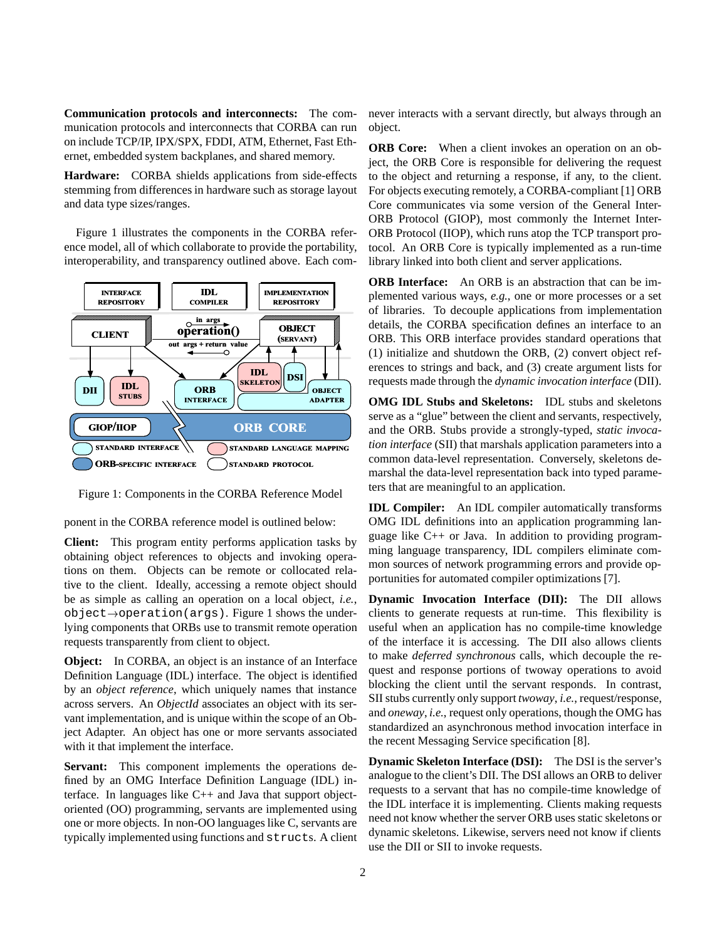**Communication protocols and interconnects:** The communication protocols and interconnects that CORBA can run on include TCP/IP, IPX/SPX, FDDI, ATM, Ethernet, Fast Ethernet, embedded system backplanes, and shared memory.

**Hardware:** CORBA shields applications from side-effects stemming from differences in hardware such as storage layout and data type sizes/ranges.

Figure 1 illustrates the components in the CORBA reference model, all of which collaborate to provide the portability, interoperability, and transparency outlined above. Each com-



Figure 1: Components in the CORBA Reference Model

ponent in the CORBA reference model is outlined below:

**Client:** This program entity performs application tasks by obtaining object references to objects and invoking operations on them. Objects can be remote or collocated relative to the client. Ideally, accessing a remote object should be as simple as calling an operation on a local object, *i.e.*,  $object \rightarrow operation(args)$ . Figure 1 shows the underlying components that ORBs use to transmit remote operation requests transparently from client to object.

**Object:** In CORBA, an object is an instance of an Interface Definition Language (IDL) interface. The object is identified by an *object reference*, which uniquely names that instance across servers. An *ObjectId* associates an object with its servant implementation, and is unique within the scope of an Object Adapter. An object has one or more servants associated with it that implement the interface.

**Servant:** This component implements the operations defined by an OMG Interface Definition Language (IDL) interface. In languages like C++ and Java that support objectoriented (OO) programming, servants are implemented using one or more objects. In non-OO languages like C, servants are typically implemented using functions and structs. A client never interacts with a servant directly, but always through an object.

**ORB Core:** When a client invokes an operation on an object, the ORB Core is responsible for delivering the request to the object and returning a response, if any, to the client. For objects executing remotely, a CORBA-compliant [1] ORB Core communicates via some version of the General Inter-ORB Protocol (GIOP), most commonly the Internet Inter-ORB Protocol (IIOP), which runs atop the TCP transport protocol. An ORB Core is typically implemented as a run-time library linked into both client and server applications.

**ORB Interface:** An ORB is an abstraction that can be implemented various ways, *e.g.*, one or more processes or a set of libraries. To decouple applications from implementation details, the CORBA specification defines an interface to an ORB. This ORB interface provides standard operations that (1) initialize and shutdown the ORB, (2) convert object references to strings and back, and (3) create argument lists for requests made through the *dynamic invocation interface* (DII).

**OMG IDL Stubs and Skeletons:** IDL stubs and skeletons serve as a "glue" between the client and servants, respectively, and the ORB. Stubs provide a strongly-typed, *static invocation interface* (SII) that marshals application parameters into a common data-level representation. Conversely, skeletons demarshal the data-level representation back into typed parameters that are meaningful to an application.

**IDL Compiler:** An IDL compiler automatically transforms OMG IDL definitions into an application programming language like C++ or Java. In addition to providing programming language transparency, IDL compilers eliminate common sources of network programming errors and provide opportunities for automated compiler optimizations [7].

**Dynamic Invocation Interface (DII):** The DII allows clients to generate requests at run-time. This flexibility is useful when an application has no compile-time knowledge of the interface it is accessing. The DII also allows clients to make *deferred synchronous* calls, which decouple the request and response portions of twoway operations to avoid blocking the client until the servant responds. In contrast, SII stubs currently only support *twoway*, *i.e.*, request/response, and *oneway*, *i.e.*, request only operations, though the OMG has standardized an asynchronous method invocation interface in the recent Messaging Service specification [8].

**Dynamic Skeleton Interface (DSI):** The DSI is the server's analogue to the client's DII. The DSI allows an ORB to deliver requests to a servant that has no compile-time knowledge of the IDL interface it is implementing. Clients making requests need not know whether the server ORB uses static skeletons or dynamic skeletons. Likewise, servers need not know if clients use the DII or SII to invoke requests.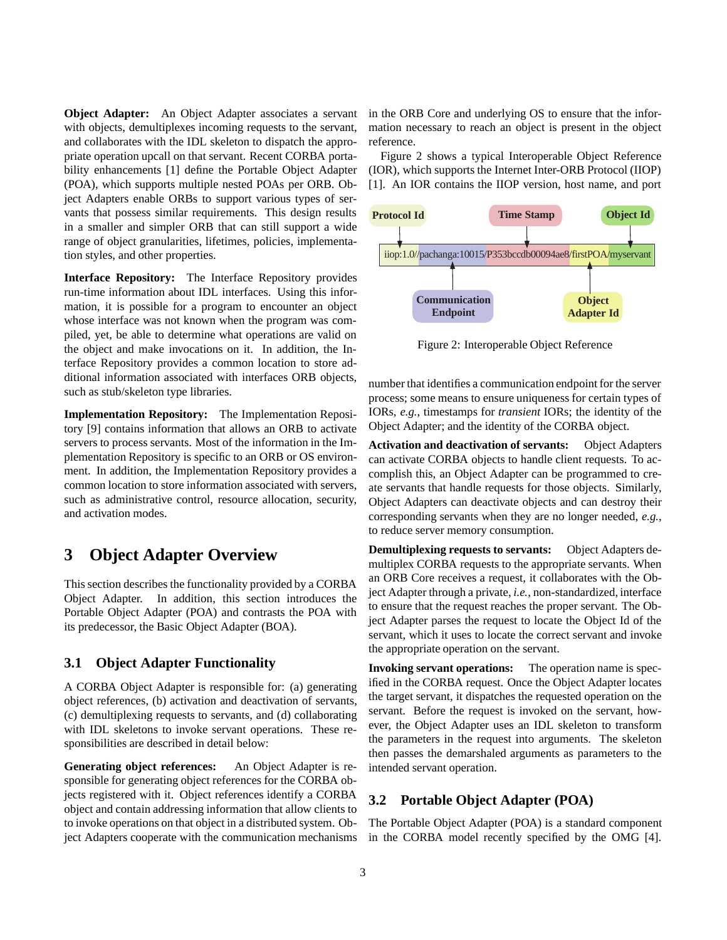**Object Adapter:** An Object Adapter associates a servant with objects, demultiplexes incoming requests to the servant, and collaborates with the IDL skeleton to dispatch the appropriate operation upcall on that servant. Recent CORBA portability enhancements [1] define the Portable Object Adapter (POA), which supports multiple nested POAs per ORB. Object Adapters enable ORBs to support various types of servants that possess similar requirements. This design results in a smaller and simpler ORB that can still support a wide range of object granularities, lifetimes, policies, implementation styles, and other properties.

**Interface Repository:** The Interface Repository provides run-time information about IDL interfaces. Using this information, it is possible for a program to encounter an object whose interface was not known when the program was compiled, yet, be able to determine what operations are valid on the object and make invocations on it. In addition, the Interface Repository provides a common location to store additional information associated with interfaces ORB objects, such as stub/skeleton type libraries.

**Implementation Repository:** The Implementation Repository [9] contains information that allows an ORB to activate servers to process servants. Most of the information in the Implementation Repository is specific to an ORB or OS environment. In addition, the Implementation Repository provides a common location to store information associated with servers, such as administrative control, resource allocation, security, and activation modes.

# **3 Object Adapter Overview**

This section describes the functionality provided by a CORBA Object Adapter. In addition, this section introduces the Portable Object Adapter (POA) and contrasts the POA with its predecessor, the Basic Object Adapter (BOA).

## **3.1 Object Adapter Functionality**

A CORBA Object Adapter is responsible for: (a) generating object references, (b) activation and deactivation of servants, (c) demultiplexing requests to servants, and (d) collaborating with IDL skeletons to invoke servant operations. These responsibilities are described in detail below:

**Generating object references:** An Object Adapter is responsible for generating object references for the CORBA objects registered with it. Object references identify a CORBA object and contain addressing information that allow clients to to invoke operations on that object in a distributed system. Object Adapters cooperate with the communication mechanisms in the ORB Core and underlying OS to ensure that the information necessary to reach an object is present in the object reference.

Figure 2 shows a typical Interoperable Object Reference (IOR), which supports the Internet Inter-ORB Protocol (IIOP) [1]. An IOR contains the IIOP version, host name, and port



Figure 2: Interoperable Object Reference

number that identifies a communication endpoint for the server process; some means to ensure uniqueness for certain types of IORs, *e.g.*, timestamps for *transient* IORs; the identity of the Object Adapter; and the identity of the CORBA object.

**Activation and deactivation of servants:** Object Adapters can activate CORBA objects to handle client requests. To accomplish this, an Object Adapter can be programmed to create servants that handle requests for those objects. Similarly, Object Adapters can deactivate objects and can destroy their corresponding servants when they are no longer needed, *e.g.*, to reduce server memory consumption.

**Demultiplexing requests to servants:** Object Adapters demultiplex CORBA requests to the appropriate servants. When an ORB Core receives a request, it collaborates with the Object Adapter through a private, *i.e.*, non-standardized, interface to ensure that the request reaches the proper servant. The Object Adapter parses the request to locate the Object Id of the servant, which it uses to locate the correct servant and invoke the appropriate operation on the servant.

**Invoking servant operations:** The operation name is specified in the CORBA request. Once the Object Adapter locates the target servant, it dispatches the requested operation on the servant. Before the request is invoked on the servant, however, the Object Adapter uses an IDL skeleton to transform the parameters in the request into arguments. The skeleton then passes the demarshaled arguments as parameters to the intended servant operation.

# **3.2 Portable Object Adapter (POA)**

The Portable Object Adapter (POA) is a standard component in the CORBA model recently specified by the OMG [4].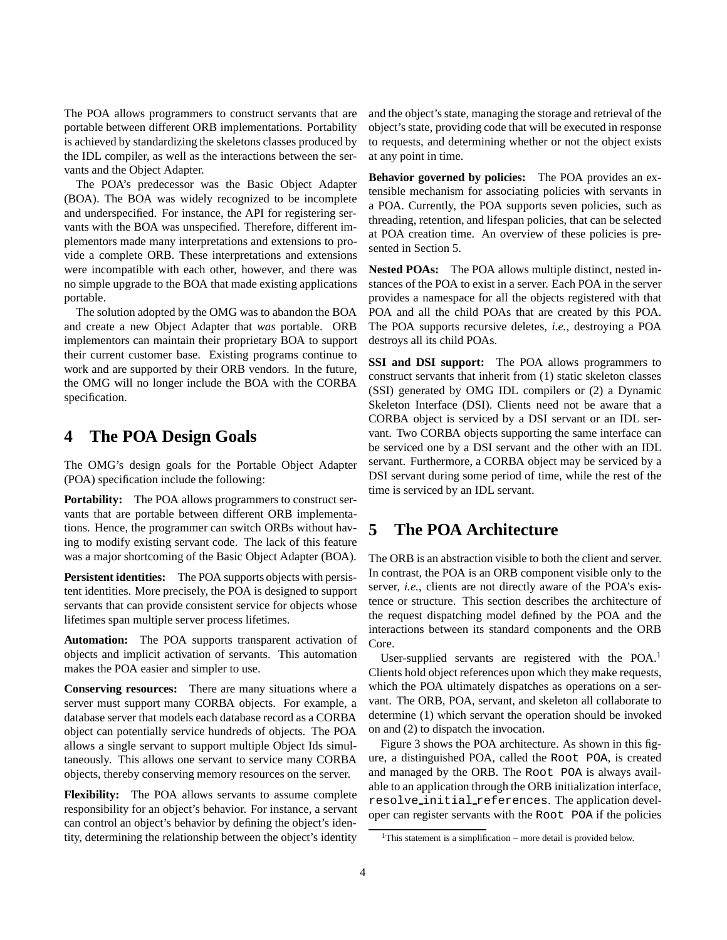The POA allows programmers to construct servants that are portable between different ORB implementations. Portability is achieved by standardizing the skeletons classes produced by the IDL compiler, as well as the interactions between the servants and the Object Adapter.

The POA's predecessor was the Basic Object Adapter (BOA). The BOA was widely recognized to be incomplete and underspecified. For instance, the API for registering servants with the BOA was unspecified. Therefore, different implementors made many interpretations and extensions to provide a complete ORB. These interpretations and extensions were incompatible with each other, however, and there was no simple upgrade to the BOA that made existing applications portable.

The solution adopted by the OMG was to abandon the BOA and create a new Object Adapter that *was* portable. ORB implementors can maintain their proprietary BOA to support their current customer base. Existing programs continue to work and are supported by their ORB vendors. In the future, the OMG will no longer include the BOA with the CORBA specification.

# **4 The POA Design Goals**

The OMG's design goals for the Portable Object Adapter (POA) specification include the following:

**Portability:** The POA allows programmers to construct servants that are portable between different ORB implementations. Hence, the programmer can switch ORBs without having to modify existing servant code. The lack of this feature was a major shortcoming of the Basic Object Adapter (BOA).

**Persistent identities:** The POA supports objects with persistent identities. More precisely, the POA is designed to support servants that can provide consistent service for objects whose lifetimes span multiple server process lifetimes.

**Automation:** The POA supports transparent activation of objects and implicit activation of servants. This automation makes the POA easier and simpler to use.

**Conserving resources:** There are many situations where a server must support many CORBA objects. For example, a database server that models each database record as a CORBA object can potentially service hundreds of objects. The POA allows a single servant to support multiple Object Ids simultaneously. This allows one servant to service many CORBA objects, thereby conserving memory resources on the server.

**Flexibility:** The POA allows servants to assume complete responsibility for an object's behavior. For instance, a servant can control an object's behavior by defining the object's identity, determining the relationship between the object's identity and the object's state, managing the storage and retrieval of the object's state, providing code that will be executed in response to requests, and determining whether or not the object exists at any point in time.

**Behavior governed by policies:** The POA provides an extensible mechanism for associating policies with servants in a POA. Currently, the POA supports seven policies, such as threading, retention, and lifespan policies, that can be selected at POA creation time. An overview of these policies is presented in Section 5.

**Nested POAs:** The POA allows multiple distinct, nested instances of the POA to exist in a server. Each POA in the server provides a namespace for all the objects registered with that POA and all the child POAs that are created by this POA. The POA supports recursive deletes, *i.e.*, destroying a POA destroys all its child POAs.

**SSI and DSI support:** The POA allows programmers to construct servants that inherit from (1) static skeleton classes (SSI) generated by OMG IDL compilers or (2) a Dynamic Skeleton Interface (DSI). Clients need not be aware that a CORBA object is serviced by a DSI servant or an IDL servant. Two CORBA objects supporting the same interface can be serviced one by a DSI servant and the other with an IDL servant. Furthermore, a CORBA object may be serviced by a DSI servant during some period of time, while the rest of the time is serviced by an IDL servant.

# **5 The POA Architecture**

The ORB is an abstraction visible to both the client and server. In contrast, the POA is an ORB component visible only to the server, *i.e.*, clients are not directly aware of the POA's existence or structure. This section describes the architecture of the request dispatching model defined by the POA and the interactions between its standard components and the ORB Core.

User-supplied servants are registered with the POA.<sup>1</sup> Clients hold object references upon which they make requests, which the POA ultimately dispatches as operations on a servant. The ORB, POA, servant, and skeleton all collaborate to determine (1) which servant the operation should be invoked on and (2) to dispatch the invocation.

Figure 3 shows the POA architecture. As shown in this figure, a distinguished POA, called the Root POA, is created and managed by the ORB. The Root POA is always available to an application through the ORB initialization interface, resolve initial references. The application developer can register servants with the Root POA if the policies

<sup>&</sup>lt;sup>1</sup>This statement is a simplification – more detail is provided below.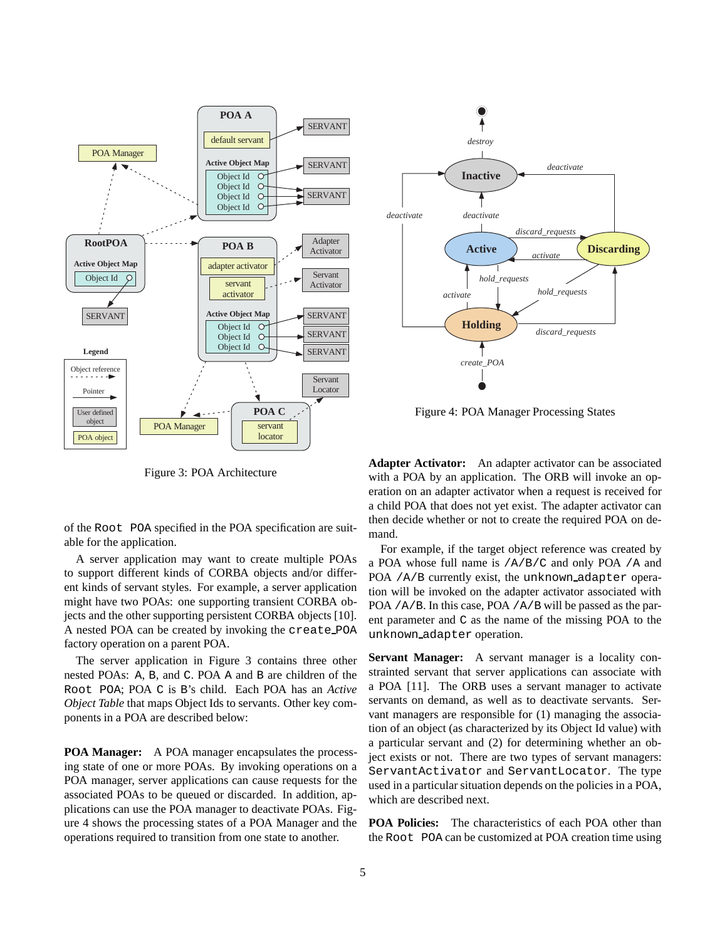



Figure 4: POA Manager Processing States

Figure 3: POA Architecture

of the Root POA specified in the POA specification are suitable for the application.

A server application may want to create multiple POAs to support different kinds of CORBA objects and/or different kinds of servant styles. For example, a server application might have two POAs: one supporting transient CORBA objects and the other supporting persistent CORBA objects [10]. A nested POA can be created by invoking the create POA factory operation on a parent POA.

The server application in Figure 3 contains three other nested POAs: A, B, and C. POA A and B are children of the Root POA; POA C is B's child. Each POA has an *Active Object Table* that maps Object Ids to servants. Other key components in a POA are described below:

**POA Manager:** A POA manager encapsulates the processing state of one or more POAs. By invoking operations on a POA manager, server applications can cause requests for the associated POAs to be queued or discarded. In addition, applications can use the POA manager to deactivate POAs. Figure 4 shows the processing states of a POA Manager and the operations required to transition from one state to another.

**Adapter Activator:** An adapter activator can be associated with a POA by an application. The ORB will invoke an operation on an adapter activator when a request is received for a child POA that does not yet exist. The adapter activator can then decide whether or not to create the required POA on demand.

For example, if the target object reference was created by a POA whose full name is  $/A/B/C$  and only POA  $/A$  and POA /A/B currently exist, the unknown adapter operation will be invoked on the adapter activator associated with POA /A/B. In this case, POA /A/B will be passed as the parent parameter and C as the name of the missing POA to the unknown adapter operation.

**Servant Manager:** A servant manager is a locality constrainted servant that server applications can associate with a POA [11]. The ORB uses a servant manager to activate servants on demand, as well as to deactivate servants. Servant managers are responsible for (1) managing the association of an object (as characterized by its Object Id value) with a particular servant and (2) for determining whether an object exists or not. There are two types of servant managers: ServantActivator and ServantLocator. The type used in a particular situation depends on the policies in a POA, which are described next.

**POA Policies:** The characteristics of each POA other than the Root POA can be customized at POA creation time using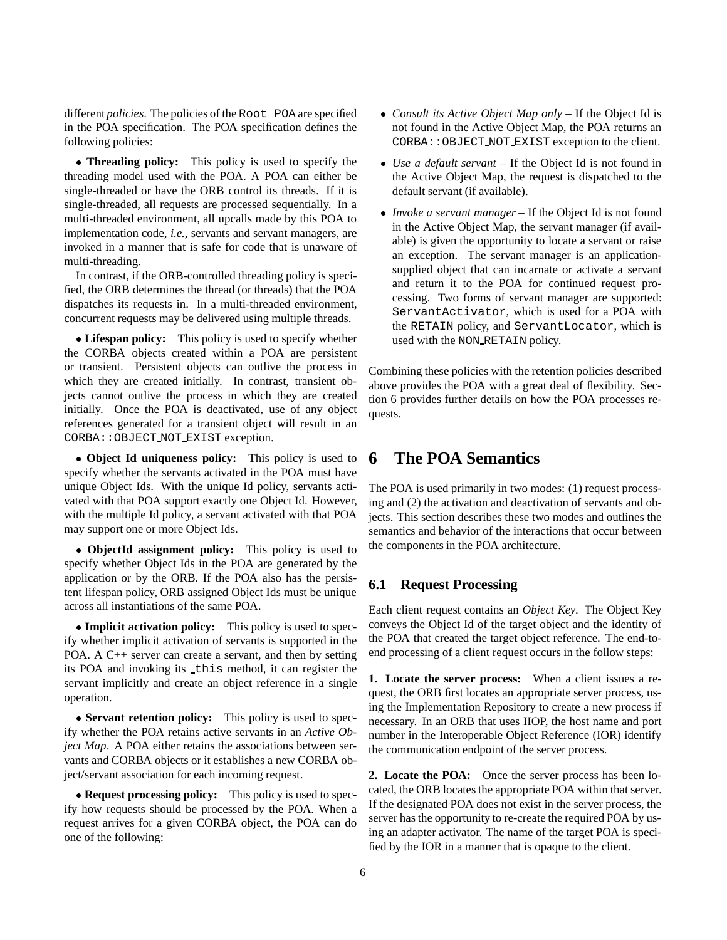different *policies*. The policies of the Root POA are specified in the POA specification. The POA specification defines the following policies:

 **Threading policy:** This policy is used to specify the threading model used with the POA. A POA can either be single-threaded or have the ORB control its threads. If it is single-threaded, all requests are processed sequentially. In a multi-threaded environment, all upcalls made by this POA to implementation code, *i.e.*, servants and servant managers, are invoked in a manner that is safe for code that is unaware of multi-threading.

In contrast, if the ORB-controlled threading policy is specified, the ORB determines the thread (or threads) that the POA dispatches its requests in. In a multi-threaded environment, concurrent requests may be delivered using multiple threads.

 **Lifespan policy:** This policy is used to specify whether the CORBA objects created within a POA are persistent or transient. Persistent objects can outlive the process in which they are created initially. In contrast, transient objects cannot outlive the process in which they are created initially. Once the POA is deactivated, use of any object references generated for a transient object will result in an CORBA::OBJECT NOT EXIST exception.

 **Object Id uniqueness policy:** This policy is used to specify whether the servants activated in the POA must have unique Object Ids. With the unique Id policy, servants activated with that POA support exactly one Object Id. However, with the multiple Id policy, a servant activated with that POA may support one or more Object Ids.

 **ObjectId assignment policy:** This policy is used to specify whether Object Ids in the POA are generated by the application or by the ORB. If the POA also has the persistent lifespan policy, ORB assigned Object Ids must be unique across all instantiations of the same POA.

 **Implicit activation policy:** This policy is used to specify whether implicit activation of servants is supported in the POA. A C++ server can create a servant, and then by setting its POA and invoking its this method, it can register the servant implicitly and create an object reference in a single operation.

 **Servant retention policy:** This policy is used to specify whether the POA retains active servants in an *Active Object Map.* A POA either retains the associations between servants and CORBA objects or it establishes a new CORBA object/servant association for each incoming request.

 **Request processing policy:** This policy is used to specify how requests should be processed by the POA. When a request arrives for a given CORBA object, the POA can do one of the following:

- *Consult its Active Object Map only* If the Object Id is not found in the Active Object Map, the POA returns an CORBA::OBJECT NOT EXIST exception to the client.
- *Use a default servant* If the Object Id is not found in the Active Object Map, the request is dispatched to the default servant (if available).
- *Invoke a servant manager* If the Object Id is not found in the Active Object Map, the servant manager (if available) is given the opportunity to locate a servant or raise an exception. The servant manager is an applicationsupplied object that can incarnate or activate a servant and return it to the POA for continued request processing. Two forms of servant manager are supported: ServantActivator, which is used for a POA with the RETAIN policy, and ServantLocator, which is used with the NON RETAIN policy.

Combining these policies with the retention policies described above provides the POA with a great deal of flexibility. Section 6 provides further details on how the POA processes requests.

# **6 The POA Semantics**

The POA is used primarily in two modes: (1) request processing and (2) the activation and deactivation of servants and objects. This section describes these two modes and outlines the semantics and behavior of the interactions that occur between the components in the POA architecture.

## **6.1 Request Processing**

Each client request contains an *Object Key*. The Object Key conveys the Object Id of the target object and the identity of the POA that created the target object reference. The end-toend processing of a client request occurs in the follow steps:

**1. Locate the server process:** When a client issues a request, the ORB first locates an appropriate server process, using the Implementation Repository to create a new process if necessary. In an ORB that uses IIOP, the host name and port number in the Interoperable Object Reference (IOR) identify the communication endpoint of the server process.

**2. Locate the POA:** Once the server process has been located, the ORB locates the appropriate POA within that server. If the designated POA does not exist in the server process, the server has the opportunity to re-create the required POA by using an adapter activator. The name of the target POA is specified by the IOR in a manner that is opaque to the client.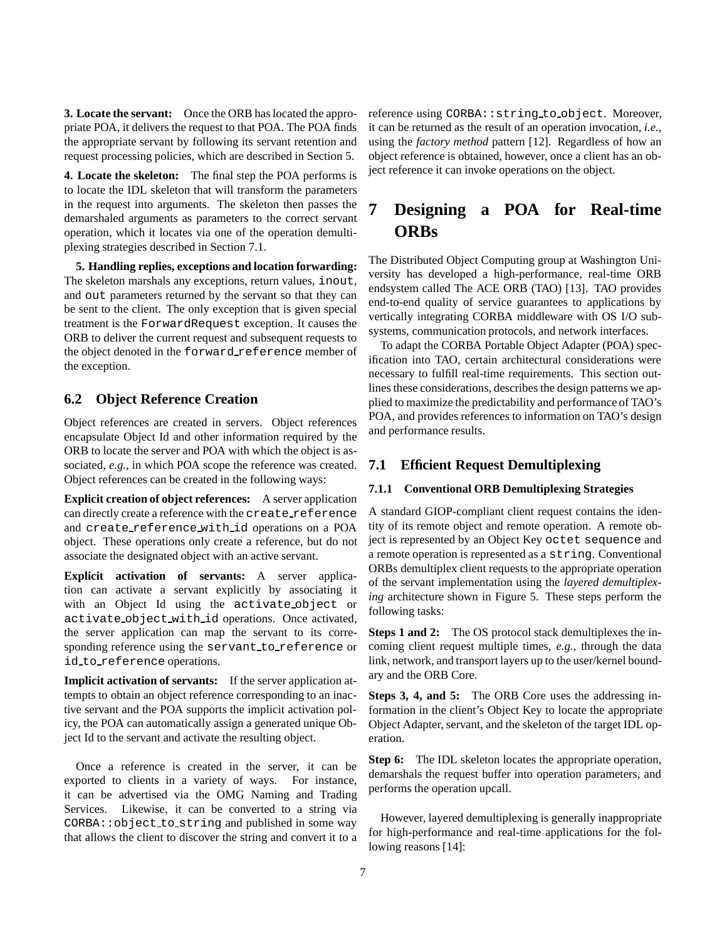**3. Locate the servant:** Once the ORB has located the appropriate POA, it delivers the request to that POA. The POA finds the appropriate servant by following its servant retention and request processing policies, which are described in Section 5.

**4. Locate the skeleton:** The final step the POA performs is to locate the IDL skeleton that will transform the parameters in the request into arguments. The skeleton then passes the demarshaled arguments as parameters to the correct servant operation, which it locates via one of the operation demultiplexing strategies described in Section 7.1.

**5. Handling replies, exceptions and location forwarding:** The skeleton marshals any exceptions, return values, inout, and out parameters returned by the servant so that they can be sent to the client. The only exception that is given special treatment is the ForwardRequest exception. It causes the ORB to deliver the current request and subsequent requests to the object denoted in the forward\_reference member of the exception.

## **6.2 Object Reference Creation**

Object references are created in servers. Object references encapsulate Object Id and other information required by the ORB to locate the server and POA with which the object is associated, *e.g.*, in which POA scope the reference was created. Object references can be created in the following ways:

**Explicit creation of object references:** A server application can directly create a reference with the create reference and create reference with id operations on a POA object. These operations only create a reference, but do not associate the designated object with an active servant.

**Explicit activation of servants:** A server application can activate a servant explicitly by associating it with an Object Id using the activate-object or activate object with id operations. Once activated, the server application can map the servant to its corresponding reference using the servant to reference or id to reference operations.

**Implicit activation of servants:** If the server application attempts to obtain an object reference corresponding to an inactive servant and the POA supports the implicit activation policy, the POA can automatically assign a generated unique Object Id to the servant and activate the resulting object.

Once a reference is created in the server, it can be exported to clients in a variety of ways. For instance, it can be advertised via the OMG Naming and Trading Services. Likewise, it can be converted to a string via CORBA::object to string and published in some way that allows the client to discover the string and convert it to a reference using CORBA::string to object. Moreover, it can be returned as the result of an operation invocation, *i.e.*, using the *factory method* pattern [12]. Regardless of how an object reference is obtained, however, once a client has an object reference it can invoke operations on the object.

# **7 Designing a POA for Real-time ORBs**

The Distributed Object Computing group at Washington University has developed a high-performance, real-time ORB endsystem called The ACE ORB (TAO) [13]. TAO provides end-to-end quality of service guarantees to applications by vertically integrating CORBA middleware with OS I/O subsystems, communication protocols, and network interfaces.

To adapt the CORBA Portable Object Adapter (POA) specification into TAO, certain architectural considerations were necessary to fulfill real-time requirements. This section outlines these considerations, describes the design patterns we applied to maximize the predictability and performance of TAO's POA, and provides references to information on TAO's design and performance results.

#### **7.1 Efficient Request Demultiplexing**

### **7.1.1 Conventional ORB Demultiplexing Strategies**

A standard GIOP-compliant client request contains the identity of its remote object and remote operation. A remote object is represented by an Object Key octet sequence and a remote operation is represented as a string. Conventional ORBs demultiplex client requests to the appropriate operation of the servant implementation using the *layered demultiplexing* architecture shown in Figure 5. These steps perform the following tasks:

**Steps 1 and 2:** The OS protocol stack demultiplexes the incoming client request multiple times, *e.g.*, through the data link, network, and transport layers up to the user/kernel boundary and the ORB Core.

**Steps 3, 4, and 5:** The ORB Core uses the addressing information in the client's Object Key to locate the appropriate Object Adapter, servant, and the skeleton of the target IDL operation.

**Step 6:** The IDL skeleton locates the appropriate operation, demarshals the request buffer into operation parameters, and performs the operation upcall.

However, layered demultiplexing is generally inappropriate for high-performance and real-time applications for the following reasons [14]: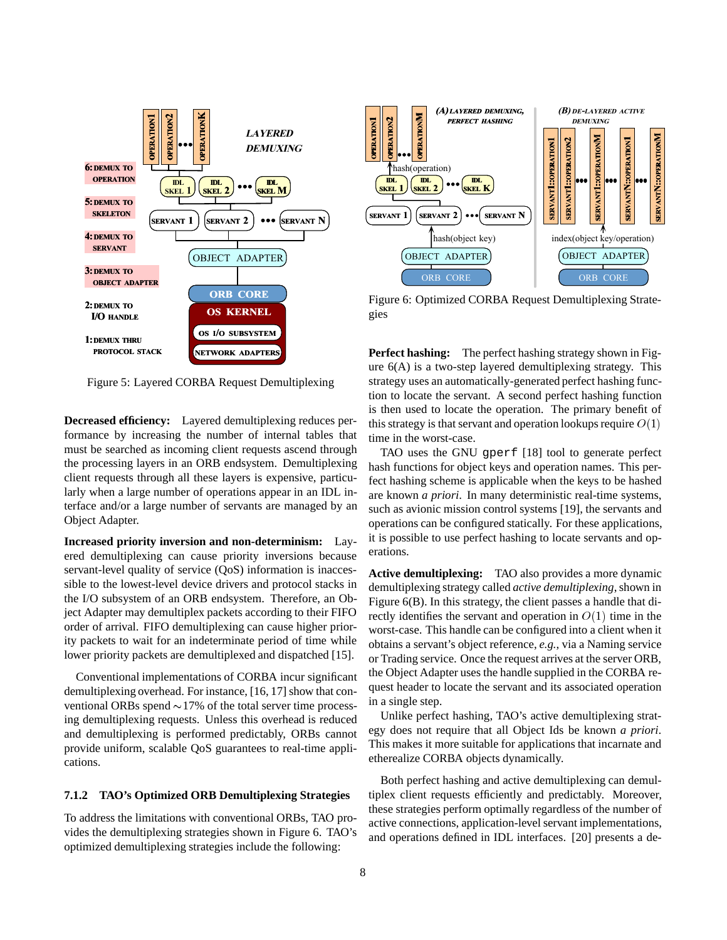

Figure 5: Layered CORBA Request Demultiplexing

**Decreased efficiency:** Layered demultiplexing reduces performance by increasing the number of internal tables that must be searched as incoming client requests ascend through the processing layers in an ORB endsystem. Demultiplexing client requests through all these layers is expensive, particularly when a large number of operations appear in an IDL interface and/or a large number of servants are managed by an Object Adapter.

**Increased priority inversion and non-determinism:** Layered demultiplexing can cause priority inversions because servant-level quality of service (OoS) information is inaccessible to the lowest-level device drivers and protocol stacks in the I/O subsystem of an ORB endsystem. Therefore, an Object Adapter may demultiplex packets according to their FIFO order of arrival. FIFO demultiplexing can cause higher priority packets to wait for an indeterminate period of time while lower priority packets are demultiplexed and dispatched [15].

Conventional implementations of CORBA incur significant demultiplexing overhead. For instance, [16, 17] show that conventional ORBs spend  $\sim$ 17% of the total server time processing demultiplexing requests. Unless this overhead is reduced and demultiplexing is performed predictably, ORBs cannot provide uniform, scalable QoS guarantees to real-time applications.

#### **7.1.2 TAO's Optimized ORB Demultiplexing Strategies**

To address the limitations with conventional ORBs, TAO provides the demultiplexing strategies shown in Figure 6. TAO's optimized demultiplexing strategies include the following:



Figure 6: Optimized CORBA Request Demultiplexing Strategies

**Perfect hashing:** The perfect hashing strategy shown in Figure 6(A) is a two-step layered demultiplexing strategy. This strategy uses an automatically-generated perfect hashing function to locate the servant. A second perfect hashing function is then used to locate the operation. The primary benefit of this strategy is that servant and operation lookups require  $O(1)$ time in the worst-case.

TAO uses the GNU gperf [18] tool to generate perfect hash functions for object keys and operation names. This perfect hashing scheme is applicable when the keys to be hashed are known *a priori*. In many deterministic real-time systems, such as avionic mission control systems [19], the servants and operations can be configured statically. For these applications, it is possible to use perfect hashing to locate servants and operations.

**Active demultiplexing:** TAO also provides a more dynamic demultiplexing strategy called *active demultiplexing*, shown in Figure 6(B). In this strategy, the client passes a handle that directly identifies the servant and operation in  $O(1)$  time in the worst-case. This handle can be configured into a client when it obtains a servant's object reference, *e.g.*, via a Naming service or Trading service. Once the request arrives at the server ORB, the Object Adapter uses the handle supplied in the CORBA request header to locate the servant and its associated operation in a single step.

Unlike perfect hashing, TAO's active demultiplexing strategy does not require that all Object Ids be known *a priori*. This makes it more suitable for applications that incarnate and etherealize CORBA objects dynamically.

Both perfect hashing and active demultiplexing can demultiplex client requests efficiently and predictably. Moreover, these strategies perform optimally regardless of the number of active connections, application-level servant implementations, and operations defined in IDL interfaces. [20] presents a de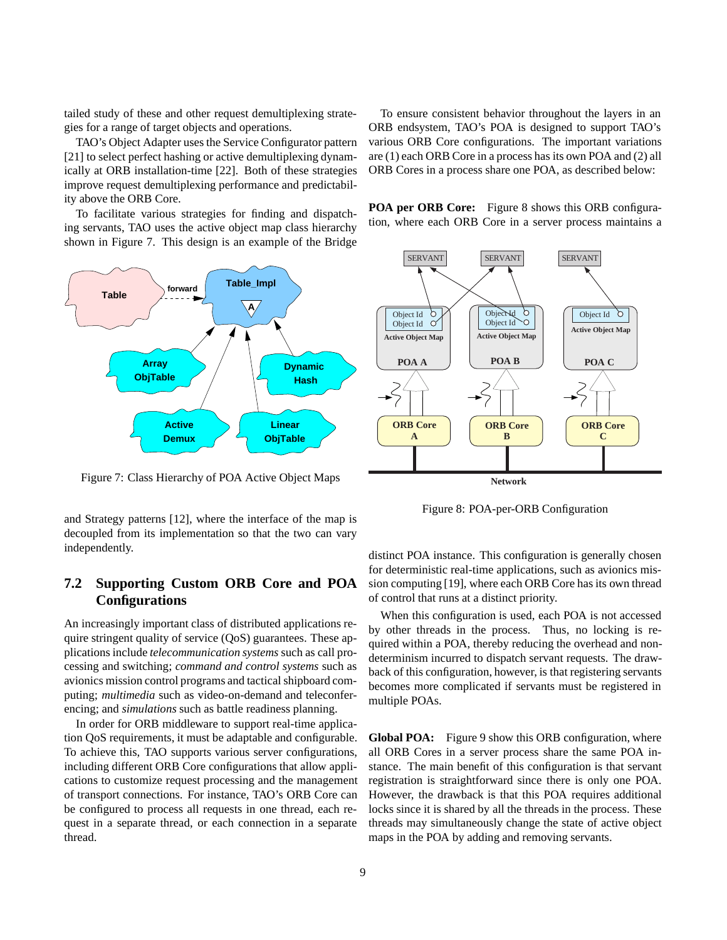tailed study of these and other request demultiplexing strategies for a range of target objects and operations.

TAO's Object Adapter uses the Service Configurator pattern [21] to select perfect hashing or active demultiplexing dynamically at ORB installation-time [22]. Both of these strategies improve request demultiplexing performance and predictability above the ORB Core.

To facilitate various strategies for finding and dispatching servants, TAO uses the active object map class hierarchy shown in Figure 7. This design is an example of the Bridge



Figure 7: Class Hierarchy of POA Active Object Maps

and Strategy patterns [12], where the interface of the map is decoupled from its implementation so that the two can vary independently.

## **7.2 Supporting Custom ORB Core and POA Configurations**

An increasingly important class of distributed applications require stringent quality of service (QoS) guarantees. These applications include *telecommunication systems* such as call processing and switching; *command and control systems* such as avionics mission control programs and tactical shipboard computing; *multimedia* such as video-on-demand and teleconferencing; and *simulations* such as battle readiness planning.

In order for ORB middleware to support real-time application QoS requirements, it must be adaptable and configurable. To achieve this, TAO supports various server configurations, including different ORB Core configurations that allow applications to customize request processing and the management of transport connections. For instance, TAO's ORB Core can be configured to process all requests in one thread, each request in a separate thread, or each connection in a separate thread.

To ensure consistent behavior throughout the layers in an ORB endsystem, TAO's POA is designed to support TAO's various ORB Core configurations. The important variations are (1) each ORB Core in a process has its own POA and (2) all ORB Cores in a process share one POA, as described below:





Figure 8: POA-per-ORB Configuration

distinct POA instance. This configuration is generally chosen for deterministic real-time applications, such as avionics mission computing [19], where each ORB Core has its own thread of control that runs at a distinct priority.

When this configuration is used, each POA is not accessed by other threads in the process. Thus, no locking is required within a POA, thereby reducing the overhead and nondeterminism incurred to dispatch servant requests. The drawback of this configuration, however, is that registering servants becomes more complicated if servants must be registered in multiple POAs.

**Global POA:** Figure 9 show this ORB configuration, where all ORB Cores in a server process share the same POA instance. The main benefit of this configuration is that servant registration is straightforward since there is only one POA. However, the drawback is that this POA requires additional locks since it is shared by all the threads in the process. These threads may simultaneously change the state of active object maps in the POA by adding and removing servants.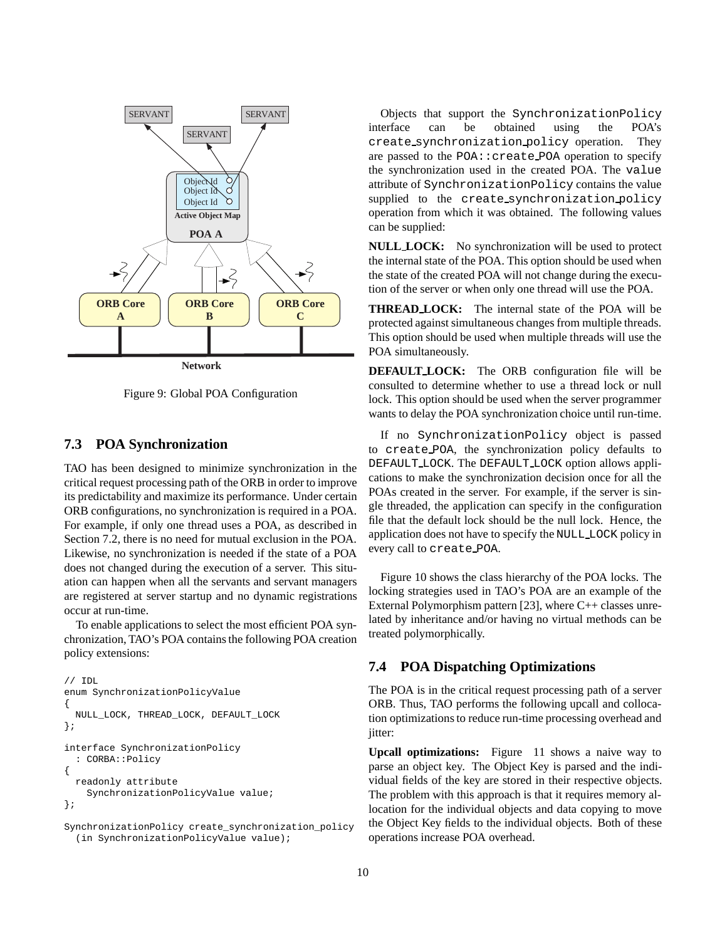

**Network**

Figure 9: Global POA Configuration

### **7.3 POA Synchronization**

TAO has been designed to minimize synchronization in the critical request processing path of the ORB in order to improve its predictability and maximize its performance. Under certain ORB configurations, no synchronization is required in a POA. For example, if only one thread uses a POA, as described in Section 7.2, there is no need for mutual exclusion in the POA. Likewise, no synchronization is needed if the state of a POA does not changed during the execution of a server. This situation can happen when all the servants and servant managers are registered at server startup and no dynamic registrations occur at run-time.

To enable applications to select the most efficient POA synchronization, TAO's POA contains the following POA creation policy extensions:

```
// IDL
enum SynchronizationPolicyValue
{
 NULL_LOCK, THREAD_LOCK, DEFAULT_LOCK
};
interface SynchronizationPolicy
  : CORBA::Policy
{
  readonly attribute
    SynchronizationPolicyValue value;
};
SynchronizationPolicy create_synchronization_policy
```

```
(in SynchronizationPolicyValue value);
```
Objects that support the SynchronizationPolicy interface can be obtained using the POA's create synchronization policy operation. They are passed to the POA:: create POA operation to specify the synchronization used in the created POA. The value attribute of SynchronizationPolicy contains the value supplied to the create synchronization policy operation from which it was obtained. The following values can be supplied:

**NULL LOCK:** No synchronization will be used to protect the internal state of the POA. This option should be used when the state of the created POA will not change during the execution of the server or when only one thread will use the POA.

**THREAD LOCK:** The internal state of the POA will be protected against simultaneous changes from multiple threads. This option should be used when multiple threads will use the POA simultaneously.

**DEFAULT LOCK:** The ORB configuration file will be consulted to determine whether to use a thread lock or null lock. This option should be used when the server programmer wants to delay the POA synchronization choice until run-time.

If no SynchronizationPolicy object is passed to create POA, the synchronization policy defaults to DEFAULT LOCK. The DEFAULT LOCK option allows applications to make the synchronization decision once for all the POAs created in the server. For example, if the server is single threaded, the application can specify in the configuration file that the default lock should be the null lock. Hence, the application does not have to specify the NULL LOCK policy in every call to create POA.

Figure 10 shows the class hierarchy of the POA locks. The locking strategies used in TAO's POA are an example of the External Polymorphism pattern [23], where C++ classes unrelated by inheritance and/or having no virtual methods can be treated polymorphically.

### **7.4 POA Dispatching Optimizations**

The POA is in the critical request processing path of a server ORB. Thus, TAO performs the following upcall and collocation optimizations to reduce run-time processing overhead and jitter:

**Upcall optimizations:** Figure 11 shows a naive way to parse an object key. The Object Key is parsed and the individual fields of the key are stored in their respective objects. The problem with this approach is that it requires memory allocation for the individual objects and data copying to move the Object Key fields to the individual objects. Both of these operations increase POA overhead.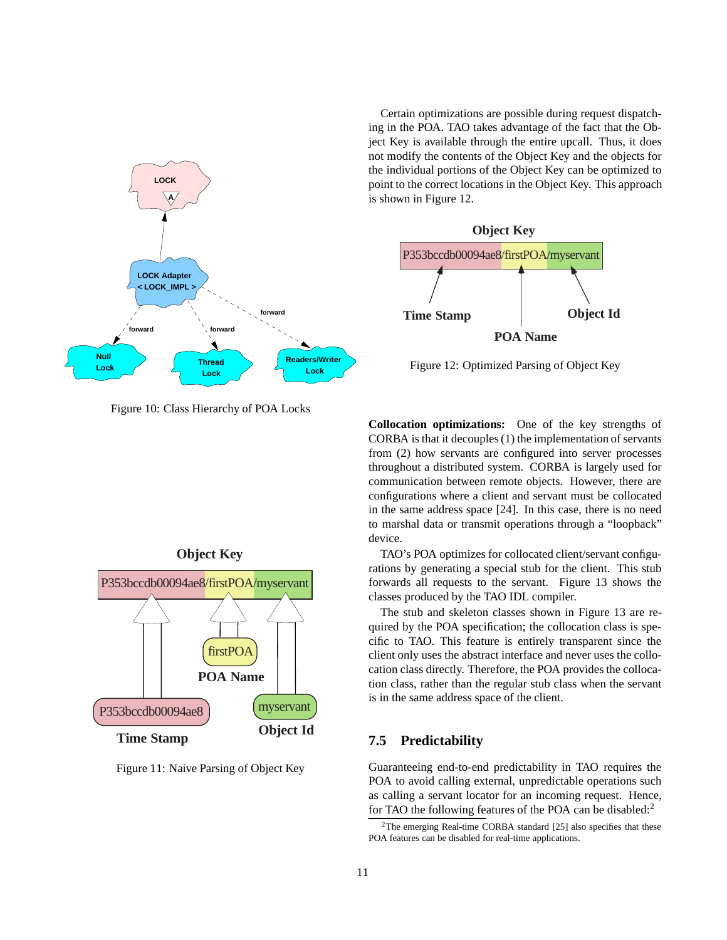

Figure 10: Class Hierarchy of POA Locks



Figure 11: Naive Parsing of Object Key

Certain optimizations are possible during request dispatching in the POA. TAO takes advantage of the fact that the Object Key is available through the entire upcall. Thus, it does not modify the contents of the Object Key and the objects for the individual portions of the Object Key can be optimized to point to the correct locations in the Object Key. This approach is shown in Figure 12.



Figure 12: Optimized Parsing of Object Key

**Collocation optimizations:** One of the key strengths of CORBA is that it decouples (1) the implementation of servants from (2) how servants are configured into server processes throughout a distributed system. CORBA is largely used for communication between remote objects. However, there are configurations where a client and servant must be collocated in the same address space [24]. In this case, there is no need to marshal data or transmit operations through a "loopback" device.

TAO's POA optimizes for collocated client/servant configurations by generating a special stub for the client. This stub forwards all requests to the servant. Figure 13 shows the classes produced by the TAO IDL compiler.

The stub and skeleton classes shown in Figure 13 are required by the POA specification; the collocation class is specific to TAO. This feature is entirely transparent since the client only uses the abstract interface and never uses the collocation class directly. Therefore, the POA provides the collocation class, rather than the regular stub class when the servant is in the same address space of the client.

## **7.5 Predictability**

Guaranteeing end-to-end predictability in TAO requires the POA to avoid calling external, unpredictable operations such as calling a servant locator for an incoming request. Hence, for TAO the following features of the POA can be disabled:<sup>2</sup>

 $2$ The emerging Real-time CORBA standard [25] also specifies that these POA features can be disabled for real-time applications.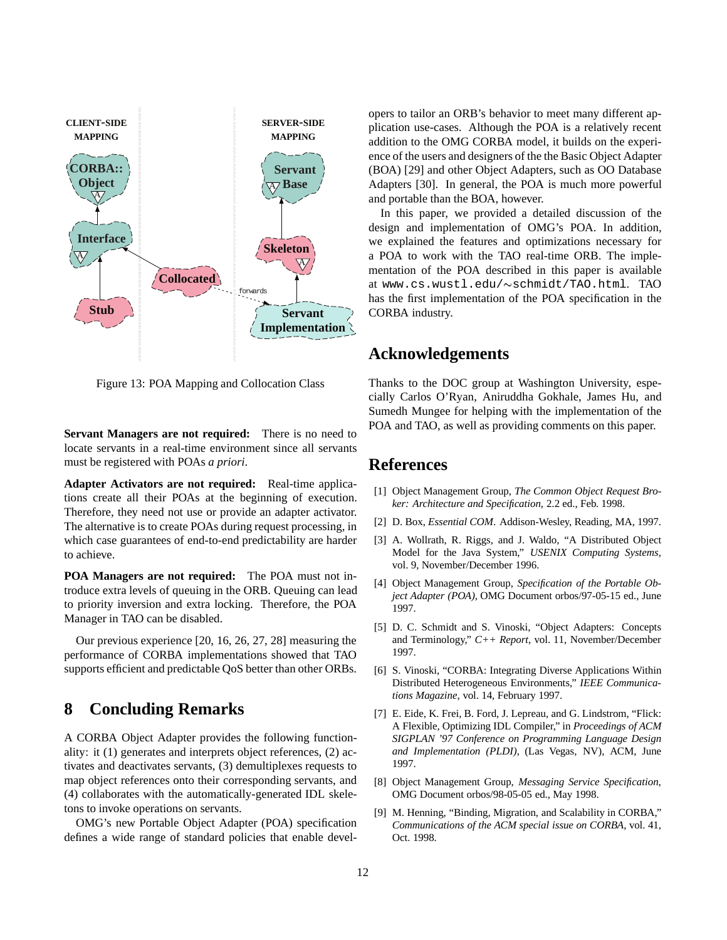

Figure 13: POA Mapping and Collocation Class

**Servant Managers are not required:** There is no need to locate servants in a real-time environment since all servants must be registered with POAs *a priori*.

**Adapter Activators are not required:** Real-time applications create all their POAs at the beginning of execution. Therefore, they need not use or provide an adapter activator. The alternative is to create POAs during request processing, in which case guarantees of end-to-end predictability are harder to achieve.

**POA Managers are not required:** The POA must not introduce extra levels of queuing in the ORB. Queuing can lead to priority inversion and extra locking. Therefore, the POA Manager in TAO can be disabled.

Our previous experience [20, 16, 26, 27, 28] measuring the performance of CORBA implementations showed that TAO supports efficient and predictable QoS better than other ORBs.

# **8 Concluding Remarks**

A CORBA Object Adapter provides the following functionality: it (1) generates and interprets object references, (2) activates and deactivates servants, (3) demultiplexes requests to map object references onto their corresponding servants, and (4) collaborates with the automatically-generated IDL skeletons to invoke operations on servants.

OMG's new Portable Object Adapter (POA) specification defines a wide range of standard policies that enable developers to tailor an ORB's behavior to meet many different application use-cases. Although the POA is a relatively recent addition to the OMG CORBA model, it builds on the experience of the users and designers of the the Basic Object Adapter (BOA) [29] and other Object Adapters, such as OO Database Adapters [30]. In general, the POA is much more powerful and portable than the BOA, however.

In this paper, we provided a detailed discussion of the design and implementation of OMG's POA. In addition, we explained the features and optimizations necessary for a POA to work with the TAO real-time ORB. The implementation of the POA described in this paper is available at www.cs.wustl.edu/ $\sim$ schmidt/TAO.html. TAO has the first implementation of the POA specification in the CORBA industry.

# **Acknowledgements**

Thanks to the DOC group at Washington University, especially Carlos O'Ryan, Aniruddha Gokhale, James Hu, and Sumedh Mungee for helping with the implementation of the POA and TAO, as well as providing comments on this paper.

## **References**

- [1] Object Management Group, *The Common Object Request Broker: Architecture and Specification*, 2.2 ed., Feb. 1998.
- [2] D. Box, *Essential COM*. Addison-Wesley, Reading, MA, 1997.
- [3] A. Wollrath, R. Riggs, and J. Waldo, "A Distributed Object Model for the Java System," *USENIX Computing Systems*, vol. 9, November/December 1996.
- [4] Object Management Group, *Specification of the Portable Object Adapter (POA)*, OMG Document orbos/97-05-15 ed., June 1997.
- [5] D. C. Schmidt and S. Vinoski, "Object Adapters: Concepts and Terminology," *C++ Report*, vol. 11, November/December 1997.
- [6] S. Vinoski, "CORBA: Integrating Diverse Applications Within Distributed Heterogeneous Environments," *IEEE Communications Magazine*, vol. 14, February 1997.
- [7] E. Eide, K. Frei, B. Ford, J. Lepreau, and G. Lindstrom, "Flick: A Flexible, Optimizing IDL Compiler," in *Proceedings of ACM SIGPLAN '97 Conference on Programming Language Design and Implementation (PLDI)*, (Las Vegas, NV), ACM, June 1997.
- [8] Object Management Group, *Messaging Service Specification*, OMG Document orbos/98-05-05 ed., May 1998.
- [9] M. Henning, "Binding, Migration, and Scalability in CORBA," *Communications of the ACM special issue on CORBA*, vol. 41, Oct. 1998.